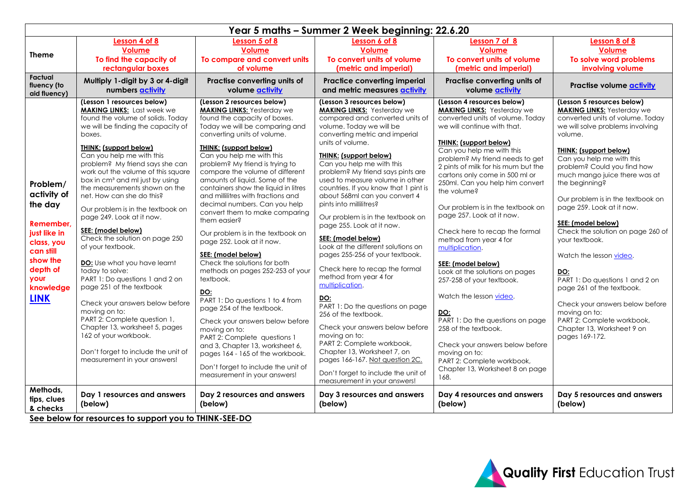| Year 5 maths - Summer 2 Week beginning: 22.6.20                                                                                                                    |                                                                                                                                                                                                                                                                                                                                                                                                                                                                                                                                                                                                                                                                                                                                                                                                                                                                                          |                                                                                                                                                                                                                                                                                                                                                                                                                                                                                                                                                                                                                                                                                                                                                                                                                                                                                                                                                                                            |                                                                                                                                                                                                                                                                                                                                                                                                                                                                                                                                                                                                                                                                                                                                                                                                                                                                                                                                                                        |                                                                                                                                                                                                                                                                                                                                                                                                                                                                                                                                                                                                                                                                                                                                                                                                                                 |                                                                                                                                                                                                                                                                                                                                                                                                                                                                                                                                                                                                                                                                                       |  |  |
|--------------------------------------------------------------------------------------------------------------------------------------------------------------------|------------------------------------------------------------------------------------------------------------------------------------------------------------------------------------------------------------------------------------------------------------------------------------------------------------------------------------------------------------------------------------------------------------------------------------------------------------------------------------------------------------------------------------------------------------------------------------------------------------------------------------------------------------------------------------------------------------------------------------------------------------------------------------------------------------------------------------------------------------------------------------------|--------------------------------------------------------------------------------------------------------------------------------------------------------------------------------------------------------------------------------------------------------------------------------------------------------------------------------------------------------------------------------------------------------------------------------------------------------------------------------------------------------------------------------------------------------------------------------------------------------------------------------------------------------------------------------------------------------------------------------------------------------------------------------------------------------------------------------------------------------------------------------------------------------------------------------------------------------------------------------------------|------------------------------------------------------------------------------------------------------------------------------------------------------------------------------------------------------------------------------------------------------------------------------------------------------------------------------------------------------------------------------------------------------------------------------------------------------------------------------------------------------------------------------------------------------------------------------------------------------------------------------------------------------------------------------------------------------------------------------------------------------------------------------------------------------------------------------------------------------------------------------------------------------------------------------------------------------------------------|---------------------------------------------------------------------------------------------------------------------------------------------------------------------------------------------------------------------------------------------------------------------------------------------------------------------------------------------------------------------------------------------------------------------------------------------------------------------------------------------------------------------------------------------------------------------------------------------------------------------------------------------------------------------------------------------------------------------------------------------------------------------------------------------------------------------------------|---------------------------------------------------------------------------------------------------------------------------------------------------------------------------------------------------------------------------------------------------------------------------------------------------------------------------------------------------------------------------------------------------------------------------------------------------------------------------------------------------------------------------------------------------------------------------------------------------------------------------------------------------------------------------------------|--|--|
| <b>Theme</b><br>Factual                                                                                                                                            | Lesson 4 of 8<br><b>Volume</b><br>To find the capacity of<br>rectangular boxes                                                                                                                                                                                                                                                                                                                                                                                                                                                                                                                                                                                                                                                                                                                                                                                                           | Lesson 5 of 8<br><b>Volume</b><br>To compare and convert units<br>of volume                                                                                                                                                                                                                                                                                                                                                                                                                                                                                                                                                                                                                                                                                                                                                                                                                                                                                                                | Lesson 6 of 8<br><b>Volume</b><br>To convert units of volume<br>(metric and imperial)                                                                                                                                                                                                                                                                                                                                                                                                                                                                                                                                                                                                                                                                                                                                                                                                                                                                                  | Lesson 7 of 8<br><b>Volume</b><br>To convert units of volume<br>(metric and imperial)                                                                                                                                                                                                                                                                                                                                                                                                                                                                                                                                                                                                                                                                                                                                           | Lesson 8 of 8<br><b>Volume</b><br>To solve word problems<br>involving volume                                                                                                                                                                                                                                                                                                                                                                                                                                                                                                                                                                                                          |  |  |
| fluency (to<br>aid fluency)                                                                                                                                        | Multiply 1-digit by 3 or 4-digit<br>numbers activity                                                                                                                                                                                                                                                                                                                                                                                                                                                                                                                                                                                                                                                                                                                                                                                                                                     | Practise converting units of<br>volume activity                                                                                                                                                                                                                                                                                                                                                                                                                                                                                                                                                                                                                                                                                                                                                                                                                                                                                                                                            | <b>Practice converting imperial</b><br>and metric measures activity                                                                                                                                                                                                                                                                                                                                                                                                                                                                                                                                                                                                                                                                                                                                                                                                                                                                                                    | Practise converting units of<br>volume activity                                                                                                                                                                                                                                                                                                                                                                                                                                                                                                                                                                                                                                                                                                                                                                                 | Practise volume activity                                                                                                                                                                                                                                                                                                                                                                                                                                                                                                                                                                                                                                                              |  |  |
| Problem/<br>activity of<br>the day<br>Remember.<br>just like in<br>class, you<br>can still<br>show the<br>depth of<br>your<br>knowledge<br><b>LINK</b><br>Methods, | (Lesson 1 resources below)<br><b>MAKING LINKS:</b> Last week we<br>found the volume of solids. Today<br>we will be finding the capacity of<br>boxes.<br>THINK: (support below)<br>Can you help me with this<br>problem? My friend says she can<br>work out the volume of this square<br>box in cm <sup>3</sup> and ml just by using<br>the measurements shown on the<br>net. How can she do this?<br>Our problem is in the textbook on<br>page 249. Look at it now.<br>SEE: (model below)<br>Check the solution on page 250<br>of your textbook.<br>DO: Use what you have learnt<br>today to solve:<br>PART 1: Do questions 1 and 2 on<br>page 251 of the textbook<br>Check your answers below before<br>moving on to:<br>PART 2: Complete question 1,<br>Chapter 13, worksheet 5, pages<br>162 of your workbook.<br>Don't forget to include the unit of<br>measurement in your answers! | (Lesson 2 resources below)<br><b>MAKING LINKS: Yesterday we</b><br>found the capacity of boxes.<br>Today we will be comparing and<br>converting units of volume.<br><b>THINK: (support below)</b><br>Can you help me with this<br>problem? My friend is trying to<br>compare the volume of different<br>amounts of liquid. Some of the<br>containers show the liquid in litres<br>and millilitres with fractions and<br>decimal numbers. Can you help<br>convert them to make comparing<br>them easier?<br>Our problem is in the textbook on<br>page 252. Look at it now.<br>SEE: (model below)<br>Check the solutions for both<br>methods on pages 252-253 of your<br>textbook.<br>DO:<br>PART 1: Do questions 1 to 4 from<br>page 254 of the textbook.<br>Check your answers below before<br>moving on to:<br>PART 2: Complete questions 1<br>and 3, Chapter 13, worksheet 6,<br>pages 164 - 165 of the workbook.<br>Don't forget to include the unit of<br>measurement in your answers! | (Lesson 3 resources below)<br><b>MAKING LINKS: Yesterday we</b><br>compared and converted units of<br>volume. Today we will be<br>converting metric and imperial<br>units of volume.<br>THINK: (support below)<br>Can you help me with this<br>problem? My friend says pints are<br>used to measure volume in other<br>countries. If you know that 1 pint is<br>about 568ml can you convert 4<br>pints into millilitres?<br>Our problem is in the textbook on<br>page 255. Look at it now.<br>SEE: (model below)<br>Look at the different solutions on<br>pages 255-256 of your textbook.<br>Check here to recap the formal<br>method from year 4 for<br>multiplication.<br>DO:<br>PART 1: Do the questions on page<br>256 of the textbook.<br>Check your answers below before<br>moving on to:<br>PART 2: Complete workbook,<br>Chapter 13, Worksheet 7, on<br>pages 166-167. Not question 2C.<br>Don't forget to include the unit of<br>measurement in your answers! | (Lesson 4 resources below)<br><b>MAKING LINKS: Yesterday we</b><br>converted units of volume. Today<br>we will continue with that.<br><b>THINK: (support below)</b><br>Can you help me with this<br>problem? My friend needs to get<br>2 pints of milk for his mum but the<br>cartons only come in 500 ml or<br>250ml. Can you help him convert<br>the volume?<br>Our problem is in the textbook on<br>page 257. Look at it now.<br>Check here to recap the formal<br>method from year 4 for<br>multiplication.<br>SEE: (model below)<br>Look at the solutions on pages<br>257-258 of your textbook.<br>Watch the lesson video.<br>DO:<br>PART 1: Do the questions on page<br>258 of the textbook.<br>Check your answers below before<br>moving on to:<br>PART 2: Complete workbook,<br>Chapter 13, Worksheet 8 on page<br>168. | (Lesson 5 resources below)<br><b>MAKING LINKS:</b> Yesterday we<br>converted units of volume. Today<br>we will solve problems involving<br>volume.<br><b>THINK: (support below)</b><br>Can you help me with this<br>problem? Could you find how<br>much mango juice there was at<br>the beginning?<br>Our problem is in the textbook on<br>page 259. Look at it now.<br>SEE: (model below)<br>Check the solution on page 260 of<br>your textbook.<br>Watch the lesson video.<br>DO:<br>PART 1: Do avestions 1 and 2 on<br>page 261 of the textbook.<br>Check your answers below before<br>moving on to:<br>PART 2: Complete workbook,<br>Chapter 13, Worksheet 9 on<br>pages 169-172. |  |  |
| tips, clues<br>& checks                                                                                                                                            | Day 1 resources and answers<br>(below)<br>See below for resources to support you to THINK-SEE-DO                                                                                                                                                                                                                                                                                                                                                                                                                                                                                                                                                                                                                                                                                                                                                                                         | Day 2 resources and answers<br>(below)                                                                                                                                                                                                                                                                                                                                                                                                                                                                                                                                                                                                                                                                                                                                                                                                                                                                                                                                                     | Day 3 resources and answers<br>(below)                                                                                                                                                                                                                                                                                                                                                                                                                                                                                                                                                                                                                                                                                                                                                                                                                                                                                                                                 | Day 4 resources and answers<br>(below)                                                                                                                                                                                                                                                                                                                                                                                                                                                                                                                                                                                                                                                                                                                                                                                          | Day 5 resources and answers<br>(below)                                                                                                                                                                                                                                                                                                                                                                                                                                                                                                                                                                                                                                                |  |  |

Quality First Education Trust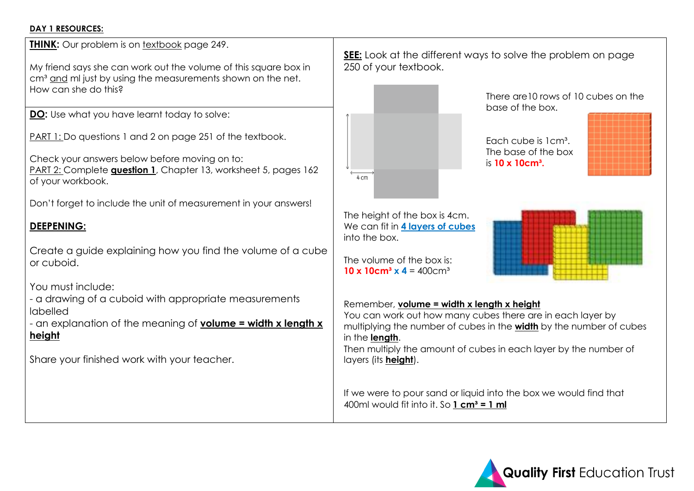### **DAY 1 RESOURCES:**

**THINK:** Our problem is on textbook page 249.

My friend says she can work out the volume of this square box in cm<sup>3</sup> and ml just by using the measurements shown on the net. How can she do this?

**DO:** Use what you have learnt today to solve:

PART 1: Do questions 1 and 2 on page 251 of the textbook.

Check your answers below before moving on to: PART 2: Complete **question 1**, Chapter 13, worksheet 5, pages 162 of your workbook.

Don't forget to include the unit of measurement in your answers!

# **DEEPENING:**

Create a guide explaining how you find the volume of a cube or cuboid.

You must include:

- a drawing of a cuboid with appropriate measurements labelled

- an explanation of the meaning of **volume = width x length x height**

Share your finished work with your teacher.

**SEE:** Look at the different ways to solve the problem on page 250 of your textbook.



There are10 rows of 10 cubes on the base of the box.

Each cube is 1cm<sup>3</sup>. The base of the box is  $10 \times 10 cm^3$ .



The height of the box is 4cm. We can fit in **4 layers of cubes** into the box.

The volume of the box is: **10 x 10cm<sup>3</sup> x 4** = 400cm<sup>3</sup>



## Remember, **volume = width x length x height**

You can work out how many cubes there are in each layer by multiplying the number of cubes in the **width** by the number of cubes in the **length**.

Then multiply the amount of cubes in each layer by the number of layers (its **height**).

If we were to pour sand or liquid into the box we would find that 400ml would fit into it. So **1 cm³ = 1 ml**

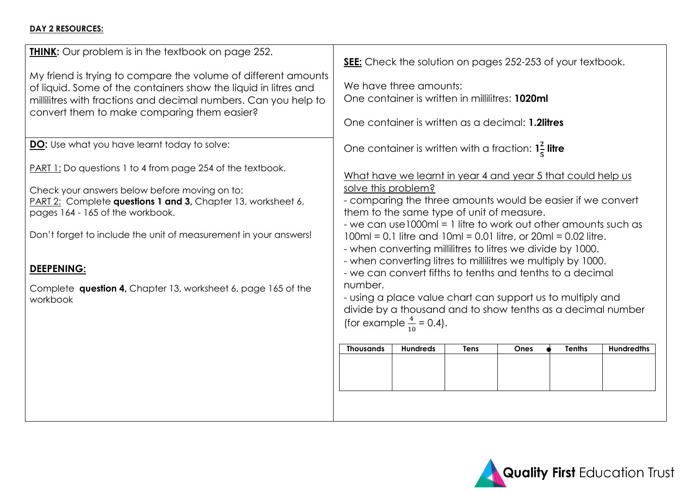#### **DAY 2 RESOURCES:**

| <b>THINK:</b> Our problem is in the textbook on page 252.<br>My friend is trying to compare the volume of different amounts<br>of liquid. Some of the containers show the liquid in litres and<br>millilitres with fractions and decimal numbers. Can you help to<br>convert them to make comparing them easier? | SEE: Check the solution on pages 252-253 of your textbook.<br>We have three amounts:<br>One container is written in millilitres: 1020ml<br>One container is written as a decimal: <b>1.2litres</b> |                 |             |      |        |                   |
|------------------------------------------------------------------------------------------------------------------------------------------------------------------------------------------------------------------------------------------------------------------------------------------------------------------|----------------------------------------------------------------------------------------------------------------------------------------------------------------------------------------------------|-----------------|-------------|------|--------|-------------------|
|                                                                                                                                                                                                                                                                                                                  |                                                                                                                                                                                                    |                 |             |      |        |                   |
| <b>DO:</b> Use what you have learnt today to solve:                                                                                                                                                                                                                                                              | One container is written with a fraction: $1\frac{2}{5}$ litre                                                                                                                                     |                 |             |      |        |                   |
| <b>PART 1:</b> Do questions 1 to 4 from page 254 of the textbook.                                                                                                                                                                                                                                                | What have we learnt in year 4 and year 5 that could help us                                                                                                                                        |                 |             |      |        |                   |
| Check your answers below before moving on to:<br>PART 2: Complete questions 1 and 3, Chapter 13, worksheet 6,<br>pages 164 - 165 of the workbook.                                                                                                                                                                | solve this problem?<br>- comparing the three amounts would be easier if we convert<br>them to the same type of unit of measure.<br>- we can use 1000ml = 1 litre to work out other amounts such as |                 |             |      |        |                   |
| Don't forget to include the unit of measurement in your answers!                                                                                                                                                                                                                                                 | $100ml = 0.1$ litre and $10ml = 0.01$ litre, or $20ml = 0.02$ litre.<br>- when converting millilitres to litres we divide by 1000.                                                                 |                 |             |      |        |                   |
| <b>DEEPENING:</b>                                                                                                                                                                                                                                                                                                | - when converting litres to millilitres we multiply by 1000.<br>- we can convert fifths to tenths and tenths to a decimal                                                                          |                 |             |      |        |                   |
| Complete question 4, Chapter 13, worksheet 6, page 165 of the<br>workbook                                                                                                                                                                                                                                        | number.<br>- using a place value chart can support us to multiply and<br>divide by a thousand and to show tenths as a decimal number<br>(for example $\frac{4}{10}$ = 0.4).                        |                 |             |      |        |                   |
|                                                                                                                                                                                                                                                                                                                  | <b>Thousands</b>                                                                                                                                                                                   | <b>Hundreds</b> | <b>Tens</b> | Ones | Tenths | <b>Hundredths</b> |
|                                                                                                                                                                                                                                                                                                                  |                                                                                                                                                                                                    |                 |             |      |        |                   |

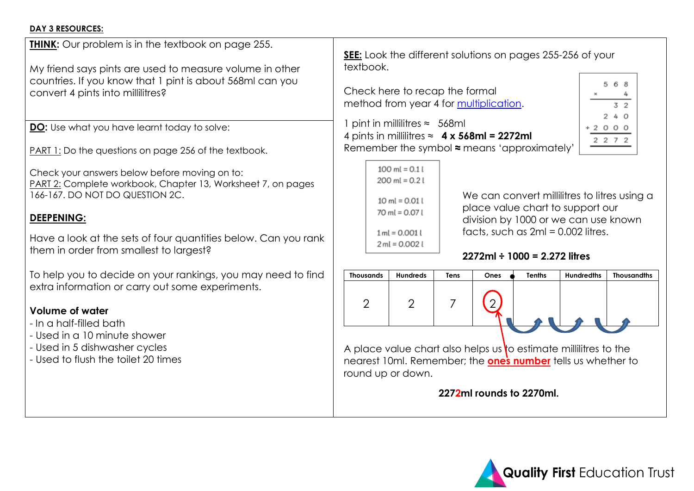#### **DAY 3 RESOURCES:**

**THINK:** Our problem is in the textbook on page 255. **SEE:** Look the different solutions on pages 255-256 of your textbook. My friend says pints are used to measure volume in other countries. If you know that 1 pint is about 568ml can you 5 6 8 Check here to recap the formal convert 4 pints into millilitres? method from year 4 for [multiplication.](https://www.belleville-school.org.uk/our-learning/calculation-videos)  $3<sub>2</sub>$  $240$ 1 pint in millilitres ≈ 568ml **DO:** Use what you have learnt today to solve:  $+2000$ 4 pints in millilitres ≈ **4 x 568ml = 2272ml** 2 2 7 2 Remember the symbol **≈** means 'approximately'. PART 1: Do the questions on page 256 of the textbook.  $100$  ml = 0.1 l Check your answers below before moving on to:  $200 \text{ ml} = 0.21$ PART 2: Complete workbook, Chapter 13, Worksheet 7, on pages 166-167. DO NOT DO QUESTION 2C. We can convert millilitres to litres using a  $10 \text{ ml} = 0.011$ place value chart to support our  $70$  ml = 0.07 l **DEEPENING:** division by 1000 or we can use known facts, such as  $2ml = 0.002$  litres.  $1 ml = 0.001 l$ Have a look at the sets of four quantities below. Can you rank  $2ml = 0.0021$ them in order from smallest to largest? **2272ml ÷ 1000 = 2.272 litres** To help you to decide on your rankings, you may need to find **Thousands Hundreds Tens Ones Tenths Hundredths Thousandths**

## **Volume of water**

- In a half-filled bath
- Used in a 10 minute shower
- Used in 5 dishwasher cycles
- Used to flush the toilet 20 times

extra information or carry out some experiments.

A place value chart also helps us to estimate millilitres to the nearest 10ml. Remember; the **ones number** tells us whether to round up or down.

2 | 2 | 7 | (2

**2272ml rounds to 2270ml.**

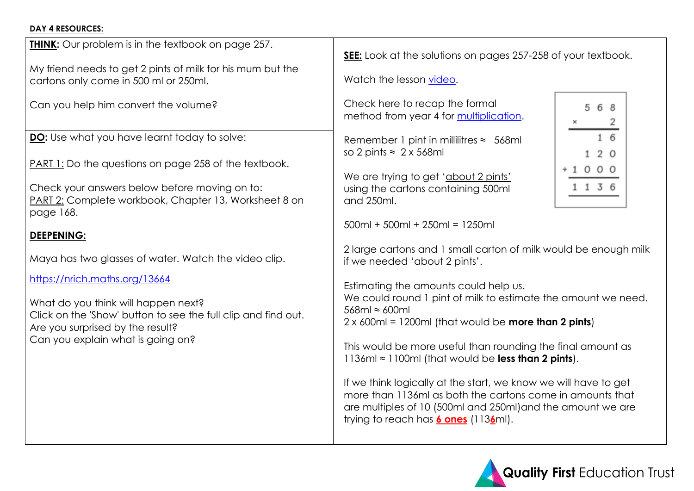## **DAY 4 RESOURCES:**

| <b>THINK:</b> Our problem is in the textbook on page 257.                                                                                                                                                                                                              | SEE: Look at the solutions on pages 257-258 of your textbook.                                                                                                                                                                                                                                                                                                                                                                                                                                          |  |  |  |
|------------------------------------------------------------------------------------------------------------------------------------------------------------------------------------------------------------------------------------------------------------------------|--------------------------------------------------------------------------------------------------------------------------------------------------------------------------------------------------------------------------------------------------------------------------------------------------------------------------------------------------------------------------------------------------------------------------------------------------------------------------------------------------------|--|--|--|
| My friend needs to get 2 pints of milk for his mum but the<br>cartons only come in 500 ml or 250ml.                                                                                                                                                                    | Watch the lesson video.                                                                                                                                                                                                                                                                                                                                                                                                                                                                                |  |  |  |
| Can you help him convert the volume?                                                                                                                                                                                                                                   | Check here to recap the formal<br>8<br>method from year 4 for multiplication.                                                                                                                                                                                                                                                                                                                                                                                                                          |  |  |  |
| <b>DO:</b> Use what you have learnt today to solve:<br><b>PART 1:</b> Do the questions on page 258 of the textbook.<br>Check your answers below before moving on to:<br>PART 2: Complete workbook, Chapter 13, Worksheet 8 on                                          | 6<br>1<br>Remember 1 pint in millilitres $\approx$ 568ml<br>so 2 pints $\approx 2 \times 568$ ml<br>20<br>$+1000$<br>We are trying to get 'about 2 pints'<br>1 1 3 6<br>using the cartons containing 500ml<br>and 250ml.                                                                                                                                                                                                                                                                               |  |  |  |
| page 168.<br>DEEPENING:                                                                                                                                                                                                                                                | $500ml + 500ml + 250ml = 1250ml$<br>2 large cartons and 1 small carton of milk would be enough milk                                                                                                                                                                                                                                                                                                                                                                                                    |  |  |  |
| Maya has two glasses of water. Watch the video clip.<br>https://nrich.maths.org/13664<br>What do you think will happen next?<br>Click on the 'Show' button to see the full clip and find out.<br>Are you surprised by the result?<br>Can you explain what is going on? | if we needed 'about 2 pints'.<br>Estimating the amounts could help us.<br>We could round 1 pint of milk to estimate the amount we need.<br>$568ml \approx 600ml$<br>$2 \times 600$ ml = 1200ml (that would be <b>more than 2 pints</b> )<br>This would be more useful than rounding the final amount as<br>1136 $ml \approx 1100ml$ (that would be less than 2 pints).<br>If we think logically at the start, we know we will have to get<br>more than 1136ml as both the cartons come in amounts that |  |  |  |
|                                                                                                                                                                                                                                                                        | are multiples of 10 (500ml and 250ml) and the amount we are<br>trying to reach has $6$ ones (113 $6$ ml).                                                                                                                                                                                                                                                                                                                                                                                              |  |  |  |

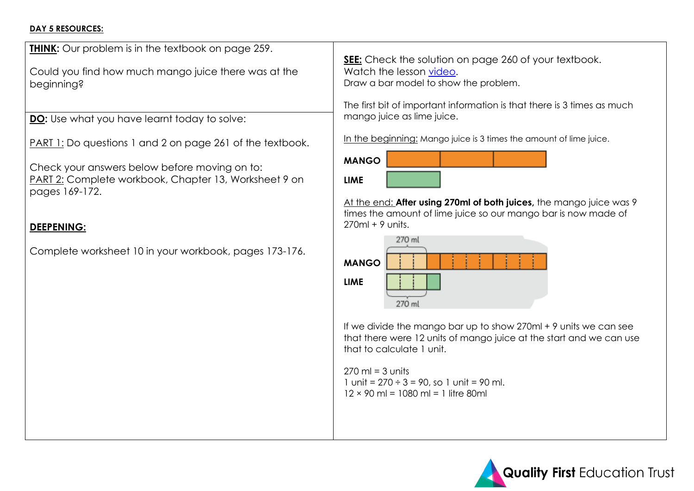#### **DAY 5 RESOURCES:**

**THINK:** Our problem is in the textbook on page 259.

Could you find how much mango juice there was at the beginning?

**DO:** Use what you have learnt today to solve:

PART 1: Do questions 1 and 2 on page 261 of the textbook.

Check your answers below before moving on to: PART 2: Complete workbook, Chapter 13, Worksheet 9 on pages 169-172.

# **DEEPENING:**

Complete worksheet 10 in your workbook, pages 173-176.

**SEE:** Check the solution on page 260 of your textbook. Watch the lesson [video.](https://vimeo.com/429311038/12e7de5e31) Draw a bar model to show the problem.

The first bit of important information is that there is 3 times as much mango juice as lime juice.

In the beginning: Mango juice is 3 times the amount of lime juice.



At the end: **After using 270ml of both juices,** the mango juice was 9 times the amount of lime juice so our mango bar is now made of  $270ml + 9$  units.



If we divide the mango bar up to show 270ml + 9 units we can see that there were 12 units of mango juice at the start and we can use that to calculate 1 unit.

 $270$  ml = 3 units 1 unit =  $270 \div 3 = 90$ , so 1 unit = 90 ml.  $12 \times 90$  ml = 1080 ml = 1 litre 80ml